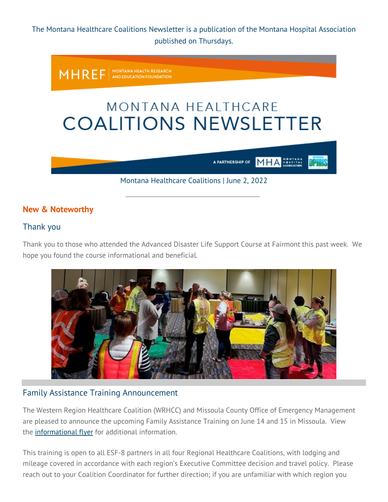The Montana Healthcare Coalitions Newsletter is a publication of the Montana Hospital Association published on Thursdays.



## **New & Noteworthy**

## Thank you

Thank you to those who attended the Advanced Disaster Life Support Course at Fairmont this past week. We hope you found the course informational and beneficial.



# Family Assistance Training Announcement

The Western Region Healthcare Coalition (WRHCC) and Missoula County Office of Emergency Management are pleased to announce the upcoming Family Assistance Training on June 14 and 15 in Missoula. View the [informational flyer](https://montanahospitalassociation.createsend1.com/t/t-i-qhynkd-l-r/) for additional information.

This training is open to all ESF-8 partners in all four Regional Healthcare Coalitions, with lodging and mileage covered in accordance with each region's Executive Committee decision and travel policy. Please reach out to your Coalition Coordinator for further direction; if you are unfamiliar with which region you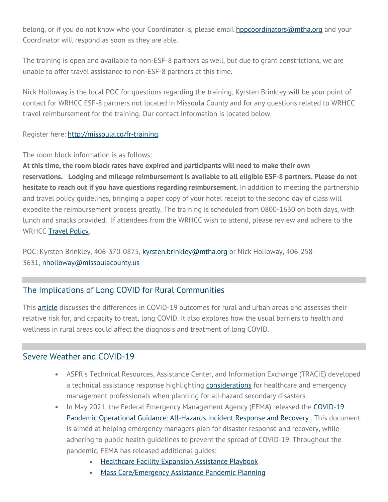belong, or if you do not know who your Coordinator is, please email [hppcoordinators@mtha.org](mailto:hppcoordinators@mtha.org) and your Coordinator will respond as soon as they are able.

The training is open and available to non-ESF-8 partners as well, but due to grant constrictions, we are unable to offer travel assistance to non-ESF-8 partners at this time.

Nick Holloway is the local POC for questions regarding the training, Kyrsten Brinkley will be your point of contact for WRHCC ESF-8 partners not located in Missoula County and for any questions related to WRHCC travel reimbursement for the training. Our contact information is located below.

Register here: [http://missoula.co/fr-training.](https://montanahospitalassociation.createsend1.com/t/t-i-qhynkd-l-y/)

The room block information is as follows:

**At this time, the room block rates have expired and participants will need to make their own reservations. Lodging and mileage reimbursement is available to all eligible ESF-8 partners. Please do not hesitate to reach out if you have questions regarding reimbursement.** In addition to meeting the partnership and travel policy guidelines, bringing a paper copy of your hotel receipt to the second day of class will expedite the reimbursement process greatly. The training is scheduled from 0800-1630 on both days, with lunch and snacks provided. If attendees from the WRHCC wish to attend, please review and adhere to the WRHCC [Travel Policy.](https://montanahospitalassociation.createsend1.com/t/t-i-qhynkd-l-j/)

POC: Kyrsten Brinkley, 406-370-0875, [kyrsten.brinkley@mtha.org](mailto:kyrsten.brinkley@mtha.org) or Nick Holloway, 406-258- 3631, [nholloway@missoulacounty.us](mailto:nholloway@missoulacounty.us)

### The Implications of Long COVID for Rural Communities

This [article](https://montanahospitalassociation.createsend1.com/t/t-i-qhynkd-l-t/) discusses the differences in COVID-19 outcomes for rural and urban areas and assesses their relative risk for, and capacity to treat, long COVID. It also explores how the usual barriers to health and wellness in rural areas could affect the diagnosis and treatment of long COVID.

#### Severe Weather and COVID-19

- ASPR's Technical Resources, Assistance Center, and Information Exchange (TRACIE) developed a technical assistance response highlighting [considerations](https://montanahospitalassociation.createsend1.com/t/t-i-qhynkd-l-i/) for healthcare and emergency management professionals when planning for all-hazard secondary disasters.
- In May 2021, the Federal Emergency Management Agency (FEMA) released the COVID-19 [Pandemic Operational Guidance: All-Hazards Incident Response and Recovery](https://montanahospitalassociation.createsend1.com/t/t-i-qhynkd-l-d/) . This document is aimed at helping emergency managers plan for disaster response and recovery, while adhering to public health guidelines to prevent the spread of COVID-19. Throughout the pandemic, FEMA has released additional guides:
	- [Healthcare Facility Expansion Assistance Playbook](https://montanahospitalassociation.createsend1.com/t/t-i-qhynkd-l-h/)
	- [Mass Care/Emergency Assistance Pandemic Planning](https://montanahospitalassociation.createsend1.com/t/t-i-qhynkd-l-k/)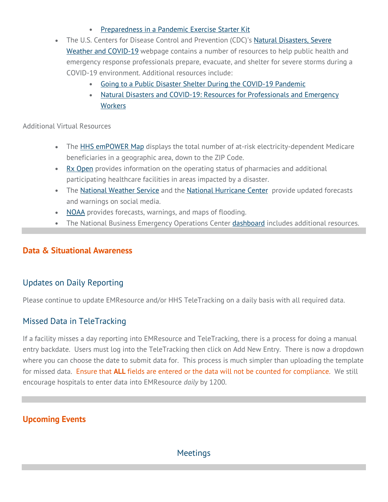### • [Preparedness in a Pandemic](https://montanahospitalassociation.createsend1.com/t/t-i-qhynkd-l-u/) Exercise Starter Kit

• The U.S. Centers for Disease Control and Prevention (CDC)'s [Natural Disasters, Severe](https://montanahospitalassociation.createsend1.com/t/t-i-qhynkd-l-o/)  Weather [and COVID-19](https://montanahospitalassociation.createsend1.com/t/t-i-qhynkd-l-o/) webpage contains a number of resources to help public health and emergency response professionals prepare, evacuate, and shelter for severe storms during a COVID-19 environment. Additional resources include:

- [Going to a Public Disaster Shelter During the COVID-19 Pandemic](https://montanahospitalassociation.createsend1.com/t/t-i-qhynkd-l-b/)
- [Natural Disasters and COVID-19: Resources for Professionals and Emergency](https://montanahospitalassociation.createsend1.com/t/t-i-qhynkd-l-n/)  **[Workers](https://montanahospitalassociation.createsend1.com/t/t-i-qhynkd-l-n/)**

#### Additional Virtual Resources

- The [HHS emPOWER Map](https://montanahospitalassociation.createsend1.com/t/t-i-qhynkd-l-p/) displays the total number of at-risk electricity-dependent Medicare beneficiaries in a geographic area, down to the ZIP Code.
- [Rx Open](https://montanahospitalassociation.createsend1.com/t/t-i-qhynkd-l-x/) provides information on the operating status of pharmacies and additional participating healthcare facilities in areas impacted by a disaster.
- The [National Weather Service](https://montanahospitalassociation.createsend1.com/t/t-i-qhynkd-l-m/) and the [National Hurricane Center](https://montanahospitalassociation.createsend1.com/t/t-i-qhynkd-l-c/) provide updated forecasts and warnings on social media.
- [NOAA](https://montanahospitalassociation.createsend1.com/t/t-i-qhynkd-l-q/) provides forecasts, warnings, and maps of flooding.
- The National Business Emergency Operations Center [dashboard](https://montanahospitalassociation.createsend1.com/t/t-i-qhynkd-l-a/) includes additional resources.

# **Data & Situational Awareness**

# Updates on Daily Reporting

Please continue to update EMResource and/or HHS TeleTracking on a daily basis with all required data.

# Missed Data in TeleTracking

If a facility misses a day reporting into EMResource and TeleTracking, there is a process for doing a manual entry backdate. Users must log into the TeleTracking then click on Add New Entry. There is now a dropdown where you can choose the date to submit data for. This process is much simpler than uploading the template for missed data. Ensure that **ALL** fields are entered or the data will not be counted for compliance. We still encourage hospitals to enter data into EMResource *daily* by 1200.

# **Upcoming Events**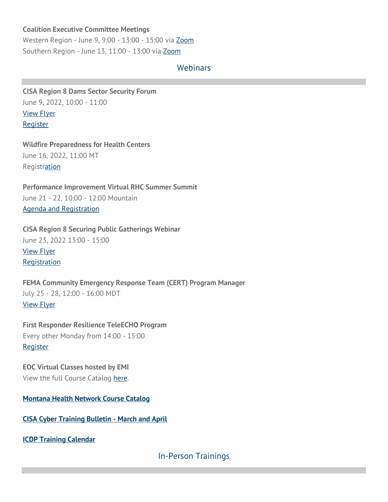#### **Coalition Executive Committee Meetings**

Western Region - June 9, 9:00 - 13:00 - 15:00 via [Zoom](https://montanahospitalassociation.createsend1.com/t/t-i-qhynkd-l-f/) Southern Region - June 13, 11:00 - 13:00 via [Zoom](https://montanahospitalassociation.createsend1.com/t/t-i-qhynkd-l-z/)

#### Webinars

**CISA Region 8 Dams Sector Security Forum** June 9, 2022, 10:00 - 11:00 [View Flyer](https://montanahospitalassociation.createsend1.com/t/t-i-qhynkd-l-v/) [Register](https://montanahospitalassociation.createsend1.com/t/t-i-qhynkd-l-e/)

**Wildfire Preparedness for Health Centers** June 16, 2022, 11:00 MT **Regist[ration](https://montanahospitalassociation.createsend1.com/t/t-i-qhynkd-l-s/)** 

**Performance Improvement Virtual RHC Summer Summit** June 21 - 22, 10:00 - 12:00 Mountain [Agenda and Registration](https://montanahospitalassociation.createsend1.com/t/t-i-qhynkd-l-g/)

**CISA Region 8 Securing Public Gatherings Webinar** June 23, 2022 13:00 - 15:00 [View Flyer](https://montanahospitalassociation.createsend1.com/t/t-i-qhynkd-l-w/) **[Registration](https://montanahospitalassociation.createsend1.com/t/t-i-qhynkd-l-yd/)** 

**FEMA Community Emergency Response Team (CERT) Program Manager** July 25 - 28, 12:00 - 16:00 MDT [View Flyer](https://montanahospitalassociation.createsend1.com/t/t-i-qhynkd-l-yh/)

**First Responder Resilience TeleECHO Program** Every other Monday from 14:00 - 15:00 [Register](https://montanahospitalassociation.createsend1.com/t/t-i-qhynkd-l-jy/)

**EOC Virtual Classes hosted by EMI** View the full Course Catalog [here.](https://montanahospitalassociation.createsend1.com/t/t-i-qhynkd-l-jj/)

**[Montana Health Network Course Catalog](https://montanahospitalassociation.createsend1.com/t/t-i-qhynkd-l-jt/)**

**[CISA Cyber Training Bulletin - March and April](https://montanahospitalassociation.createsend1.com/t/t-i-qhynkd-l-ji/)**

**[ICDP Training Calendar](https://montanahospitalassociation.createsend1.com/t/t-i-qhynkd-l-jd/)**

In-Person Trainings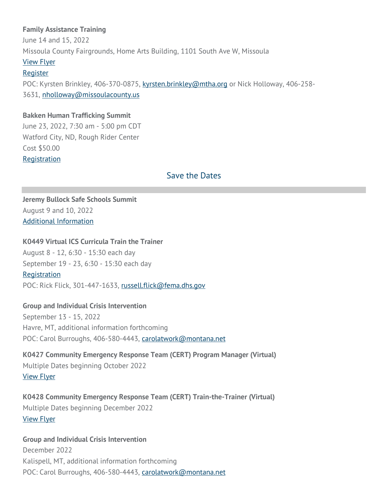#### **Family Assistance Training**

June 14 and 15, 2022 Missoula County Fairgrounds, Home Arts Building, 1101 South Ave W, Missoula

#### [View Flyer](https://montanahospitalassociation.createsend1.com/t/t-i-qhynkd-l-jh/)

#### **[Register](https://montanahospitalassociation.createsend1.com/t/t-i-qhynkd-l-jk/)**

POC: Kyrsten Brinkley, 406-370-0875, [kyrsten.brinkley@mtha.org](mailto:kyrsten.brinkley@mtha.org) or Nick Holloway, 406-258- 3631, [nholloway@missoulacounty.us](mailto:nholloway@missoulacounty.us) 

#### **Bakken Human Trafficking Summit**

June 23, 2022, 7:30 am - 5:00 pm CDT Watford City, ND, Rough Rider Center Cost \$50.00 **[Registration](https://montanahospitalassociation.createsend1.com/t/t-i-qhynkd-l-ju/)** 

### Save the Dates

## **Jeremy Bullock Safe Schools Summit** August 9 and 10, 2022 [Additional Information](https://montanahospitalassociation.createsend1.com/t/t-i-qhynkd-l-tl/)

### **K0449 Virtual ICS Curricula Train the Trainer**

August 8 - 12, 6:30 - 15:30 each day September 19 - 23, 6:30 - 15:30 each day **[Registration](https://montanahospitalassociation.createsend1.com/t/t-i-qhynkd-l-tr/)** POC: Rick Flick, 301-447-1633, [russell.flick@fema.dhs.gov](mailto:russell.flick@fema.dhs.gov)

#### **Group and Individual Crisis Intervention**

September 13 - 15, 2022 Havre, MT, additional information forthcoming POC: Carol Burroughs, 406-580-4443, [carolatwork@montana.net](mailto:carolatwork@montana.net)

**K0427 Community Emergency Response Team (CERT) Program Manager (Virtual)** Multiple Dates beginning October 2022 [View Flyer](https://montanahospitalassociation.createsend1.com/t/t-i-qhynkd-l-ty/)

**K0428 Community Emergency Response Team (CERT) Train-the-Trainer (Virtual)** Multiple Dates beginning December 2022 [View Fl](https://montanahospitalassociation.createsend1.com/t/t-i-qhynkd-l-tj/)[yer](https://montanahospitalassociation.createsend1.com/t/t-i-qhynkd-l-tt/)

### **Group and Individual Crisis Intervention**

December 2022 Kalispell, MT, additional information forthcoming POC: Carol Burroughs, 406-580-4443, [carolatwork@montana.net](mailto:carolatwork@montana.net)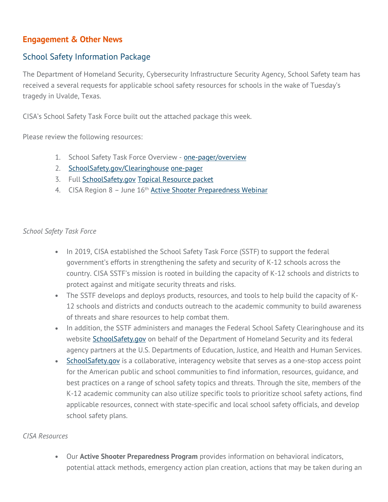# **Engagement & Other News**

# School Safety Information Package

The Department of Homeland Security, Cybersecurity Infrastructure Security Agency, School Safety team has received a several requests for applicable school safety resources for schools in the wake of Tuesday's tragedy in Uvalde, Texas.

CISA's School Safety Task Force built out the attached package this week.

Please review the following resources:

- 1. School Safety Task Force Overview - [one-pager/overview](https://montanahospitalassociation.createsend1.com/t/t-i-qhynkd-l-ti/)
- 2. [SchoolSafety.gov/Clearinghouse](https://montanahospitalassociation.createsend1.com/t/t-i-qhynkd-l-td/) [one-pager](https://montanahospitalassociation.createsend1.com/t/t-i-qhynkd-l-th/)
- 3. Full [SchoolSafety.gov](https://montanahospitalassociation.createsend1.com/t/t-i-qhynkd-l-tk/) [Topical Resource packet](https://montanahospitalassociation.createsend1.com/t/t-i-qhynkd-l-tu/)
- 4. CISA Region 8 June 16<sup>th</sup> [Active Shooter Preparedness Webinar](https://montanahospitalassociation.createsend1.com/t/t-i-qhynkd-l-il/)

#### *School Safety Task Force*

- In 2019, CISA established the School Safety Task Force (SSTF) to support the federal government's efforts in strengthening the safety and security of K-12 schools across the country. CISA SSTF's mission is rooted in building the capacity of K-12 schools and districts to protect against and mitigate security threats and risks.
- The SSTF develops and deploys products, resources, and tools to help build the capacity of K-12 schools and districts and conducts outreach to the academic community to build awareness of threats and share resources to help combat them.
- In addition, the SSTF administers and manages the Federal School Safety Clearinghouse and its website **[SchoolSafety.gov](https://montanahospitalassociation.createsend1.com/t/t-i-qhynkd-l-iy/)** on behalf of the Department of Homeland Security and its federal agency partners at the U.S. Departments of Education, Justice, and Health and Human Services.
- [SchoolSafety.gov](https://montanahospitalassociation.createsend1.com/t/t-i-qhynkd-l-ij/) is a collaborative, interagency website that serves as a one-stop access point for the American public and school communities to find information, resources, guidance, and best practices on a range of school safety topics and threats. Through the site, members of the K-12 academic community can also utilize specific tools to prioritize school safety actions, find applicable resources, connect with state-specific and local school safety officials, and develop school safety plans.

#### *CISA Resources*

• Our **Active Shooter Preparedness Program** provides information on behavioral indicators, potential attack methods, emergency action plan creation, actions that may be taken during an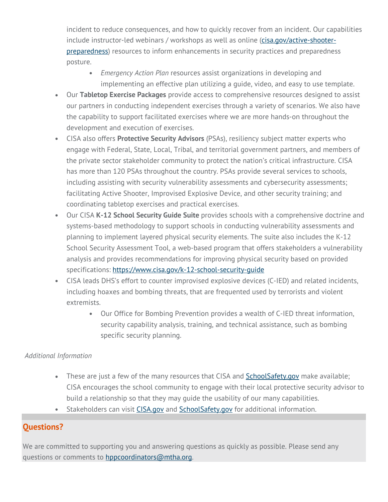incident to reduce consequences, and how to quickly recover from an incident. Our capabilities include instructor-led webinars / workshops as well as online [\(cisa.gov/active-shooter](https://montanahospitalassociation.createsend1.com/t/t-i-qhynkd-l-it/)[preparedness\)](https://montanahospitalassociation.createsend1.com/t/t-i-qhynkd-l-it/) resources to inform enhancements in security practices and preparedness posture.

- *Emergency Action Plan* resources assist organizations in developing and implementing an effective plan utilizing a guide, video, and easy to use template.
- Our **Tabletop Exercise Packages** provide access to comprehensive resources designed to assist our partners in conducting independent exercises through a variety of scenarios. We also have the capability to support facilitated exercises where we are more hands-on throughout the development and execution of exercises.
- CISA also offers **Protective Security Advisors** (PSAs), resiliency subject matter experts who engage with Federal, State, Local, Tribal, and territorial government partners, and members of the private sector stakeholder community to protect the nation's critical infrastructure. CISA has more than 120 PSAs throughout the country. PSAs provide several services to schools, including assisting with security vulnerability assessments and cybersecurity assessments; facilitating Active Shooter, Improvised Explosive Device, and other security training; and coordinating tabletop exercises and practical exercises.
- Our CISA **K-12 School Security Guide Suite** provides schools with a comprehensive doctrine and systems-based methodology to support schools in conducting vulnerability assessments and planning to implement layered physical security elements. The suite also includes the K-12 School Security Assessment Tool, a web-based program that offers stakeholders a vulnerability analysis and provides recommendations for improving physical security based on provided specifications: [https://www.cisa.gov/k-12-school-security-guide](https://montanahospitalassociation.createsend1.com/t/t-i-qhynkd-l-ii/)
- CISA leads DHS's effort to counter improvised explosive devices (C-IED) and related incidents, including hoaxes and bombing threats, that are frequented used by terrorists and violent extremists.
	- Our Office for Bombing Prevention provides a wealth of C-IED threat information, security capability analysis, training, and technical assistance, such as bombing specific security planning.

#### *Additional Information*

- These are just a few of the many resources that CISA and **[SchoolSafety.gov](https://montanahospitalassociation.createsend1.com/t/t-i-qhynkd-l-id/)** make available; CISA encourages the school community to engage with their local protective security advisor to build a relationship so that they may guide the usability of our many capabilities.
- Stakeholders can visit CISA.gov and SchoolSafety.gov for additional information.

# **Questions?**

We are committed to supporting you and answering questions as quickly as possible. Please send any questions or comments to [hppcoordinators@mtha.org.](mailto:hppcoordinators@mtha.org)